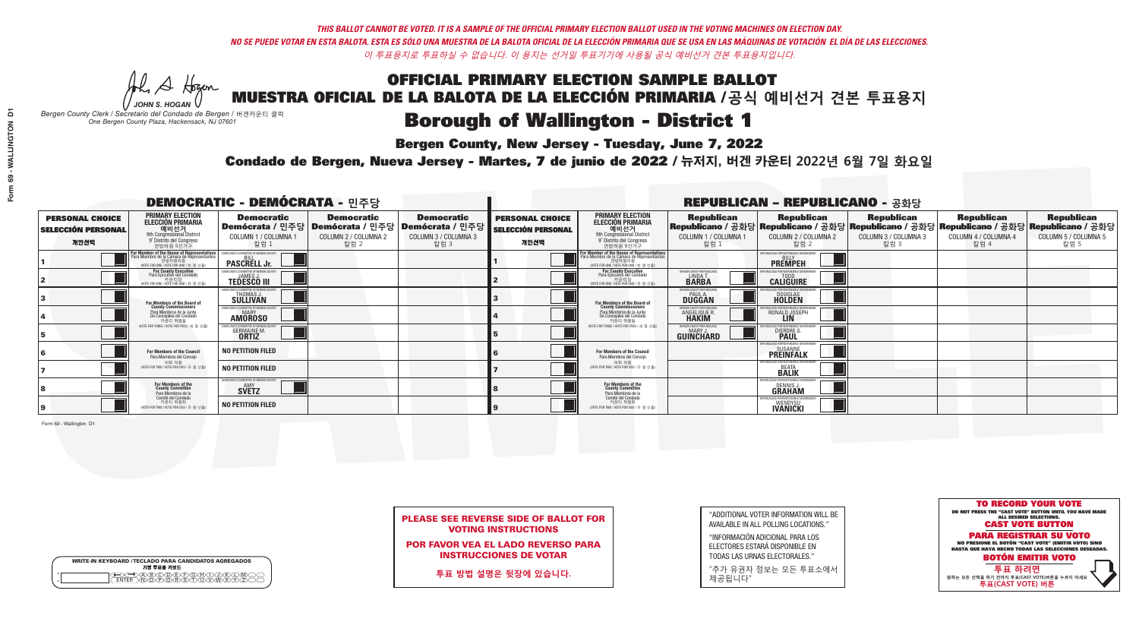**Bergen County, New Jersey - Tuesday, June 7, 2022** 

He A Hogan *JOHN S. HOGAN*

| <b>WRITE-IN KEYBOARD /TECLADO PARA CANDIDATOS AGREGADOS</b><br>기명 투표용 키보드 |  |
|---------------------------------------------------------------------------|--|
| @®©®©©©®<br>®®®®®®®®®                                                     |  |

*Bergen County Clerk / Secretario del Condado de Bergen /* 버겐카운티 클럭 *One Bergen County Plaza, Hackensack, NJ 07601*

Condado de Bergen, Nueva Jersey - Martes, 7 de junio de 2022 / 뉴저지, 버겐 카운티 2022년 6월 7일 화요일 *One Bergen County Plaza, Hackensack, NJ 07601*



| <b>PLEASE SEE REVERSE SIDE OF BALLOT FOR</b> |
|----------------------------------------------|
| <b>VOTING INSTRUCTIONS</b>                   |

POR FAVOR VEA EL LADO REVERSO PARA INSTRUCCIONES DE VOTAR

**투표 방법 설명은 뒷장에 있습니다.**

"ADDITIONAL VOTER INFORMATION WILL BE AVAILABLE IN ALL POLLING LOCATIONS."

"INFORMACIÓN ADICIONAL PARA LOS ELECTORES ESTARÁ DISPONIBLE EN TODAS LAS URNAS ELECTORALES."

"추가 유권자 정보는 모든 투표소에서 제공됩니다"

|                                                             |                                                                                                                                                       | <b>DEMOCRATIC - DEMÓCRATA - 민주당</b>                                                   |                                                   |                                                                      |                                                             |                                                                                                                                             |                                                               | <b>REPUBLICAN - REPUBLICANO - 공화당</b>                                                                                                          |                                                   |                                                   |                                                   |
|-------------------------------------------------------------|-------------------------------------------------------------------------------------------------------------------------------------------------------|---------------------------------------------------------------------------------------|---------------------------------------------------|----------------------------------------------------------------------|-------------------------------------------------------------|---------------------------------------------------------------------------------------------------------------------------------------------|---------------------------------------------------------------|------------------------------------------------------------------------------------------------------------------------------------------------|---------------------------------------------------|---------------------------------------------------|---------------------------------------------------|
| <b>PERSONAL CHOICE</b><br><b>SELECCIÓN PERSONAL</b><br>개인선택 | <b>PRIMARY ELECTION</b><br><b>ELECCIÓN PRIMARIA</b><br>예비선거<br><sup>9th</sup> Congressional District<br>9° Distrito del Congreso<br>연방하원 9선거구         | <b>Democratic</b><br>│Demócrata / 민주당│Demócrata / 민주당<br>COLUMN 1 / COLUMNA 1<br>칼럼 1 | <b>Democratic</b><br>COLUMN 2 / COLUMNA 2<br>칼럼 2 | <b>Democratic</b><br>Demócrata / 민주당<br>COLUMN 3 / COLUMNA 3<br>칼럼 3 | <b>PERSONAL CHOICE</b><br><b>SELECCIÓN PERSONAL</b><br>개인선택 | <b>PRIMARY ELECTION</b><br>ELECCIÓN PRIMARIA<br>예비선거<br>9th Congressional District<br>9° Distrito del Congreso<br>연방하원 9선거구                 | <b>Republican</b><br>COLUMN 1 / COLUMNA 1<br>참럼 1             | <b>Republican</b><br>Republicano / 공화당 Republicano / 공화당 Republicano / 공화당 Republicano / 공화당 Republicano / 공화당<br>COLUMN 2 / COLUMNA 2<br>참럼 2 | <b>Republican</b><br>COLUMN 3 / COLUMNA 3<br>칼럼 3 | <b>Republican</b><br>COLUMN 4 / COLUMNA 4<br>칼럼 4 | <b>Republican</b><br>COLUMN 5 / COLUMNA 5<br>칼럼 5 |
|                                                             | <b>For Member of the House of Representatives<br/>Para Miembro de la Cámara de Representantes</b><br>연방하원의원<br>(VOTE FOR ONE / VOTE POR UNO / 한 명 선출) | EMOCRATIC COMMITTEE OF BERGEN COUNTY<br><b>PASCRELL Jr.</b>                           |                                                   |                                                                      |                                                             | For Member of the House of Representatives<br>Para Miembro de la Cámara de Representantes<br>연방하원의원<br>(VOTE FOR ONE / VOTE POR UNO / 한명선출) |                                                               | PUBLICANS FOR RESPONSIBLE GOVERNMEN<br><b>PREMPEH</b>                                                                                          |                                                   |                                                   |                                                   |
|                                                             | For County Executive<br>Para Ejecutivo del Condado<br>가운티장<br>(VOTE FOR ONE / VOTE POR UNO / 한 명 선출)                                                  | JEMOCRATIC COMMITTEE OF BERGEN COUNTY<br><b>TEDESCO III</b>                           |                                                   |                                                                      |                                                             | For County Executive<br>Para Ejecutivo del Condado<br>. 카운티장<br>(VOTE FOR ONE / VOTE POR UNO / 한 명 선출)                                      | BERGEN COUNTY REPUBLICAN<br>LINDA T.<br><b>BARBA</b>          | <b>CALIGUIRE</b>                                                                                                                               |                                                   |                                                   |                                                   |
|                                                             | For Members of the Board of<br>County Commissioners                                                                                                   | MOCRATIC COMMITTEE OF BERGEN COUNT<br>THOMAS J.                                       |                                                   |                                                                      |                                                             | For Members of the Board of<br>County Commissioners                                                                                         | ERGEN COUNTY REPUBLICAN<br><b>PAUL A.</b><br><b>DUGGAN</b>    | <b>DOUGLAS</b><br><b>HOLDEN</b>                                                                                                                |                                                   |                                                   |                                                   |
|                                                             | Para Miembros de la Junta<br>De Concejales del Condado<br>카우티 위원들                                                                                     | <b>EMOCRATIC COMMITTEE OF BERGEN COUNT</b><br><b>MARY</b><br><b>AMOROSO</b>           |                                                   |                                                                      |                                                             | Para Miembros de la Junta<br>De Concejales del Condado<br>카운티 위원들                                                                           | ERGEN COUNTY REPUBLICAN<br><b>ANGELIQUE R</b><br><b>HAKIM</b> | RONALD JOSEPH                                                                                                                                  |                                                   |                                                   |                                                   |
|                                                             | NOTE FOR THREE / VOTE POR TRES / 세 명 선출)                                                                                                              | AOCRATIC COMMITTEE OF BEBGEN CO<br><b>GERMAINE M</b>                                  |                                                   |                                                                      |                                                             | NOTE FOR THREE / VOTE POR TRES / 세 명 선출)                                                                                                    | BERGEN COUNTY REPUBLICANS<br>MARY.<br>GUINCHARD               | <b>DIERDRE</b>                                                                                                                                 |                                                   |                                                   |                                                   |
|                                                             | <b>For Members of the Council</b><br>Para Miembros del Concejo                                                                                        | <b>NO PETITION FILED</b>                                                              |                                                   |                                                                      |                                                             | <b>For Members of the Council</b><br>Para Miembros del Conceio                                                                              |                                                               | <b>PREINFALK</b>                                                                                                                               |                                                   |                                                   |                                                   |
|                                                             | 의회 의원<br>(VOTE FOR TWO / VOTE POR DOS / 두 명 선렬                                                                                                        | <b>NO PETITION FILED</b>                                                              |                                                   |                                                                      |                                                             | 의회 의원<br>WOTE FOR TWO / VOTE POR DOS / 두 명 선출)                                                                                              |                                                               | PURLICANS FOR RESPONSIBLE<br><b>BEATA</b><br><b>BALIK</b>                                                                                      |                                                   |                                                   |                                                   |
|                                                             | For Members of the<br>County Committee<br>Para Miembros de la<br>Comité del Condado                                                                   | MOCRATIC COMMITTEE OF BERGEN COUNTY<br><b>SVETZ</b>                                   |                                                   |                                                                      |                                                             | For Members of the<br>County Committee<br>Para Miembros de la<br>Comité del Condado                                                         |                                                               | PUBLICANS FOR RESPONSIBLE GI<br>DENNIS.<br><b>GRAHAM</b>                                                                                       |                                                   |                                                   |                                                   |
|                                                             | 카운티 위원회<br>WOTE FOR TWO / VOTE POR DOS / 두 명 선출)                                                                                                      | <b>NO PETITION FILED</b>                                                              |                                                   |                                                                      |                                                             | 카운티 위원회<br>(VOTE FOR TWO / VOTE POR DOS / 두 명 선출)                                                                                           |                                                               | PUBLICANS FOR RESPONSIBLE GOVERNMEN<br>WENDYSU<br><b>IVANICKI</b>                                                                              |                                                   |                                                   |                                                   |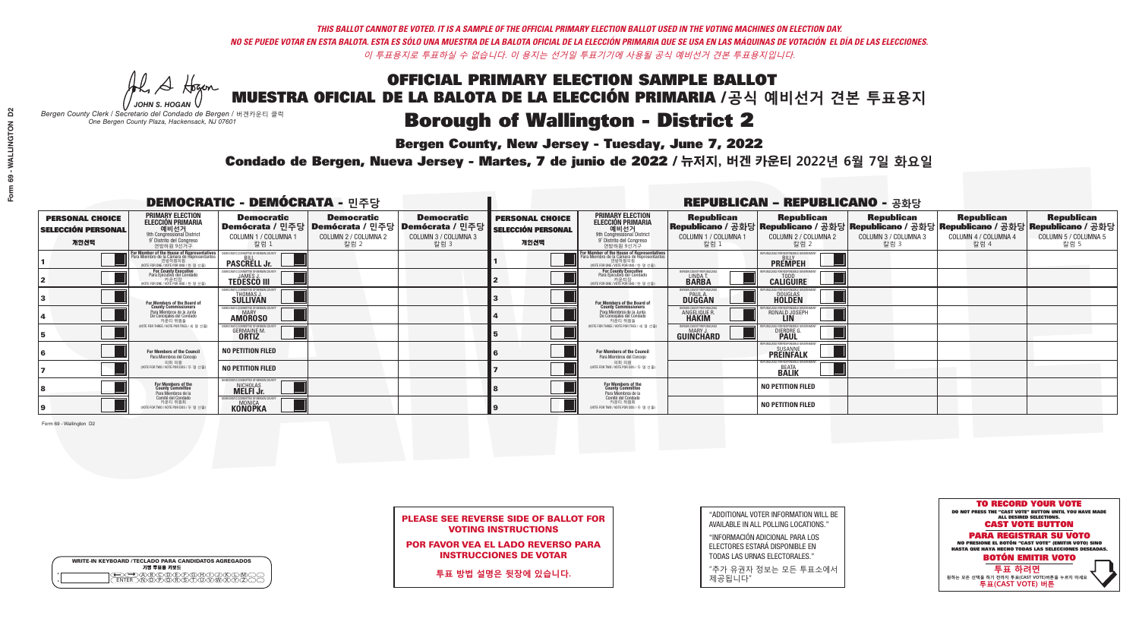# **Bergen County, New Jersey - Tuesday, June 7, 2022**

He A Hogan *JOHN S. HOGAN*

| <b>WRITE-IN KEYBOARD /TECLADO PARA CANDIDATOS AGREGADOS</b><br>기명 투표용 키보드 |  |
|---------------------------------------------------------------------------|--|
| )(B)(C)(D)(E)(F)(G)(H)(<br><u>አቅአሧይረፈ</u> አይ                              |  |

*Bergen County Clerk / Secretario del Condado de Bergen /* 버겐카운티 클럭 *One Bergen County Plaza, Hackensack, NJ 07601*

### Condado de Bergen, Nueva Jersey - Martes, 7 de junio de 2022 / 뉴저지, 버겐 카운티 2022년 6월 7일 화요일 *One Bergen County Plaza, Hackensack, NJ 07601*



|                            | <b>PLEASE SEE REVERSE SIDE OF BALLOT FOR</b> |
|----------------------------|----------------------------------------------|
| <b>VOTING INSTRUCTIONS</b> |                                              |

POR FAVOR VEA EL LADO REVERSO PARA INSTRUCCIONES DE VOTAR

**투표 방법 설명은 뒷장에 있습니다.**

"ADDITIONAL VOTER INFORMATION WILL BE AVAILABLE IN ALL POLLING LOCATIONS."

"INFORMACIÓN ADICIONAL PARA LOS ELECTORES ESTARÁ DISPONIBLE EN TODAS LAS URNAS ELECTORALES."

"추가 유권자 정보는 모든 투표소에서 제공됩니다"

| <b>DEMOCRATIC - DEMÓCRATA - 민주당</b>                         |                                                                                                                                               |                                                                           |                                                   |                                                                                                        |                                                             |                                                                                                                                               |                                                           | <b>REPUBLICAN - REPUBLICANO - 공화당</b>                                                                                                          |                                                   |                                                   |                                                   |
|-------------------------------------------------------------|-----------------------------------------------------------------------------------------------------------------------------------------------|---------------------------------------------------------------------------|---------------------------------------------------|--------------------------------------------------------------------------------------------------------|-------------------------------------------------------------|-----------------------------------------------------------------------------------------------------------------------------------------------|-----------------------------------------------------------|------------------------------------------------------------------------------------------------------------------------------------------------|---------------------------------------------------|---------------------------------------------------|---------------------------------------------------|
| <b>PERSONAL CHOICE</b><br><b>SELECCIÓN PERSONAL</b><br>개인선택 | <b>PRIMARY ELECTION</b><br><b>ELECCIÓN PRIMARIA</b><br>예비선거<br>애 Oler 21<br>9° Distrito del Congreso<br>연방하원 9선거구                             | <b>Democratic</b><br>COLUMN 1 / COLUMNA 1<br>칼럼 :                         | <b>Democratic</b><br>COLUMN 2 / COLUMNA 2<br>칼럼 2 | <b>Democratic</b><br>│Demócrata / 민주당│Demócrata / 민주당│Demócrata / 민주당│<br>COLUMN 3 / COLUMNA 3<br>칼럼 3 | <b>PERSONAL CHOICE</b><br><b>SELECCIÓN PERSONAL</b><br>개인선택 | <b>PRIMARY ELECTION</b><br>ELECCIÓN PRIMARIA<br>9th Congressional District<br>9° Distrito del Congreso<br>연방하원 9선거구                           | <b>Republican</b><br>COLUMN 1 / COLUMNA 1<br>칼럼           | <b>Republican</b><br>Republicano / 공화당 Republicano / 공화당 Republicano / 공화당 Republicano / 공화당 Republicano / 공화당<br>COLUMN 2 / COLUMNA 2<br>칼럼 2 | <b>Republican</b><br>COLUMN 3 / COLUMNA 3<br>칼럼 3 | <b>Republican</b><br>COLUMN 4 / COLUMNA 4<br>칼럼 4 | <b>Republican</b><br>COLUMN 5 / COLUMNA 5<br>칼럼 5 |
|                                                             | For Member of the House of Representatives<br>Para Miembro de la Cámara de Representantes<br>연방하원의원<br>(VOTE FOR ONE / VOTE POR UNO / 한 명 선출) | <b>PASCRELL Jr.</b>                                                       |                                                   |                                                                                                        |                                                             | For Member of the House of Representatives<br>Para Miembro de la Cámara de Representantes<br>연방하원의원<br>(VOTE FOR ONE / VOTE POR UNO / 한 명 선출) |                                                           | PUBLICANS FOR RESPONSIBLE GOVERNI<br><b>PREMPEH</b>                                                                                            |                                                   |                                                   |                                                   |
|                                                             | For County Executive<br>Para Ejecutivo del Condado<br>(VOTE FOR ONE / VOTE POR UNO / 한 명 선출)                                                  | JEMOCRATIC COMMITTEE OF BERGEN C<br><b>TEDESCO III</b>                    |                                                   |                                                                                                        |                                                             | For County Executive<br>Para Ejecutivo del Condado<br>카운티장<br>(VOTE FOR ONE / VOTE POR UNO / 한 명 선출)                                          | BERGEN COUNTY REPUBLICA<br>LINDA T.                       | <b>CALIGUIRE</b>                                                                                                                               |                                                   |                                                   |                                                   |
|                                                             | For Members of the Board of<br>County Commissioners                                                                                           | IOCRATIC COMMITTEE OF BERGEN COUNT<br><b>THOMAS J.</b><br><b>SULLIVAN</b> |                                                   |                                                                                                        |                                                             | For Members of the Board of<br>County Commissioners                                                                                           | ERGEN COUNTY REPUBLICA<br><b>PAUL A.</b><br><b>DUGGAN</b> | <b>DOUGLAS</b>                                                                                                                                 |                                                   |                                                   |                                                   |
|                                                             | Para Miembros de la Junta<br>De Concejales del Condado<br>카운티 위원들                                                                             | <b><i>AOCRATIC COMMITTEE OF BERGEN COUNTY</i></b><br><b>AMOROSO</b>       |                                                   |                                                                                                        |                                                             | Para Miembros de la Junta<br>De Concejales del Condado<br>카우티 위원들                                                                             | ERGEN COUNTY REPUBLICA!<br>ANGELIQUE R                    | RONALD JOSEPH                                                                                                                                  |                                                   |                                                   |                                                   |
|                                                             | NOTE FOR THREE / VOTE POR TRES / 세 명 선출)                                                                                                      | ATIC COMMITTEE OF BERGEN C'<br><b>GERMAINE M.</b><br><b>ORTIZ</b>         |                                                   |                                                                                                        |                                                             | NOTE FOR THREE / VOTE POR TRES / 세 명 선출)                                                                                                      | ERGEN COUNTY REPUBLICANS<br><b>MARY J</b><br>GUINCHARD    | DIERDRE G                                                                                                                                      |                                                   |                                                   |                                                   |
|                                                             | For Members of the Council<br>Para Miembros del Conceio                                                                                       | <b>NO PETITION FILED</b>                                                  |                                                   |                                                                                                        |                                                             | For Members of the Council<br>Para Miembros del Concejo                                                                                       |                                                           | NS FOR RESPONSIBI E GO<br><b>PREINFALK</b>                                                                                                     |                                                   |                                                   |                                                   |
|                                                             | 의회 의원<br>(VOTE FOR TWO / VOTE POR DOS / 두 명 선출)                                                                                               | <b>NO PETITION FILED</b>                                                  |                                                   |                                                                                                        |                                                             | 의회 의원<br>(VOTE FOR TWO / VOTE POR DOS / 두 명 선출)                                                                                               |                                                           | <b>FPUBLICANS FOR RESPONSIBLE GOVE</b><br><b>BEATA</b><br><b>BALIK</b>                                                                         |                                                   |                                                   |                                                   |
|                                                             | For Members of the<br>County Committee<br>Para Miembros de la<br>Comité del Condado                                                           | OCRATIC COMMITTEE OF BERGEN COUNTY<br>NICHOLAS<br><b>MELFI Jr.</b>        |                                                   |                                                                                                        |                                                             | For Members of the<br>County Committee<br>Para Miembros de la<br>Comité del Condado                                                           |                                                           | <b>NO PETITION FILED</b>                                                                                                                       |                                                   |                                                   |                                                   |
|                                                             | 카운티 위원회<br>(VOTE FOR TWO / VOTE POR DOS / 두 명 선출)                                                                                             | AOCRATIC COMMITTEE OF RERGEN C<br><b>KONOPKA</b>                          |                                                   |                                                                                                        |                                                             | 카운티 위원회<br>(VOTE FOR TWO / VOTE POR DOS / 두 명 선출)                                                                                             |                                                           | <b>NO PETITION FILED</b>                                                                                                                       |                                                   |                                                   |                                                   |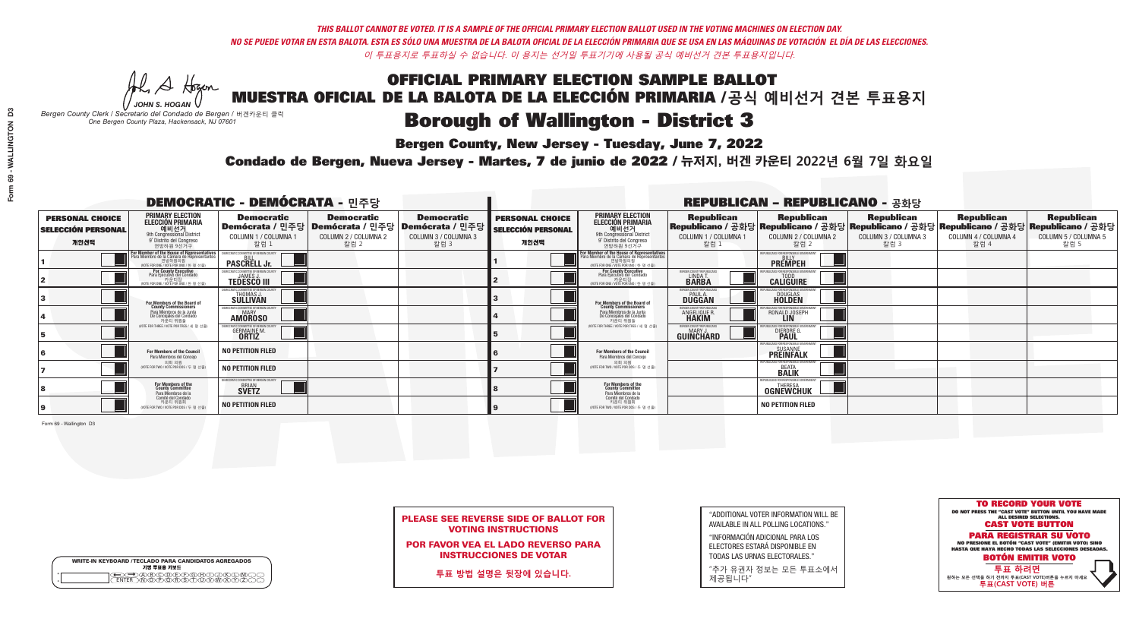Al Stogan *JOHN S. HOGAN*

| <b>WRITE-IN KEYBOARD /TECLADO PARA CANDIDATOS AGREGADOS</b><br>기명 투표용 키보드 |  |
|---------------------------------------------------------------------------|--|
| )ABODDFGAN<br>៶៳៑៳ឝ៶៳៑៓ឨ៶ឨ៶ឨ៶                                             |  |

# OFFICIAL PRIMARY ELECTION SAMPLE BALLOT

MUESTRA OFICIAL DE LA BALOTA DE LA ELECCIÓN PRIMARIA /**공식 예비선거 견본 투표용지**

*Bergen County Clerk / Secretario del Condado de Bergen /* 버겐카운티 클럭 *One Bergen County Plaza, Hackensack, NJ 07601*

# **Borough of Wallington - District 3**

**Bergen County, New Jersey - Tuesday, June 7, 2022** 

Condado de Bergen, Nueva Jersey - Martes, 7 de junio de 2022 / 뉴저지, 버겐 카운티 2022년 6월 7일 화요일 *One Bergen County Plaza, Hackensack, NJ 07601*



| <b>PLEASE SEE REVERSE SIDE OF BALLOT FOR</b> |
|----------------------------------------------|
| <b>VOTING INSTRUCTIONS</b>                   |

POR FAVOR VEA EL LADO REVERSO PARA INSTRUCCIONES DE VOTAR

**투표 방법 설명은 뒷장에 있습니다.**

| "ADDITIONAL VOTER INFORMATION WILL BE |
|---------------------------------------|
| AVAILABLE IN ALL POLLING LOCATIONS."  |

"INFORMACIÓN ADICIONAL PARA LOS ELECTORES ESTARÁ DISPONIBLE EN TODAS LAS URNAS ELECTORALES."

"추가 유권자 정보는 모든 투표소에서 제공됩니다"

|                                                             |                                                                                                                                               | <b>DEMOCRATIC - DEMÓCRATA - 민주당</b>                                        |                                                   |                                                                                                        |                                                             |                                                                                                                                               |                                                            | <b>REPUBLICAN - REPUBLICANO - 공화당</b>                                                                                                          |                                                   |                                                   |                                                   |
|-------------------------------------------------------------|-----------------------------------------------------------------------------------------------------------------------------------------------|----------------------------------------------------------------------------|---------------------------------------------------|--------------------------------------------------------------------------------------------------------|-------------------------------------------------------------|-----------------------------------------------------------------------------------------------------------------------------------------------|------------------------------------------------------------|------------------------------------------------------------------------------------------------------------------------------------------------|---------------------------------------------------|---------------------------------------------------|---------------------------------------------------|
| <b>PERSONAL CHOICE</b><br><b>SELECCIÓN PERSONAL</b><br>개인선택 | <b>PRIMARY ELECTION</b><br><b>ELECCIÓN PRIMARIA</b><br>예비선거<br><sup>9th</sup> Congressional District<br>9° Distrito del Congreso<br>연방하원 9선거구 | <b>Democratic</b><br>COLUMN 1 / COLUMNA 1<br>칼럼 1                          | <b>Democratic</b><br>COLUMN 2 / COLUMNA 2<br>칼럼 2 | <b>Democratic</b><br>│Demócrata / 민주당│Demócrata / 민주당│Demócrata / 민주당┃<br>COLUMN 3 / COLUMNA 3<br>칼럼 3 | <b>PERSONAL CHOICE</b><br><b>SELECCIÓN PERSONAL</b><br>개인선택 | <b>PRIMARY ELECTION</b><br><b>ELECCIÓN PRIMARIA</b><br><u>. 예비선거</u><br>9th Congressional District<br>9° Distrito del Congreso<br>연방하원 9선거구   | <b>Republican</b><br>COLUMN 1 / COLUMNA 1<br>칼럼 1          | <b>Republican</b><br>Republicano / 공화당 Republicano / 공화당 Republicano / 공화당 Republicano / 공화당 Republicano / 공화당<br>COLUMN 2 / COLUMNA 2<br>칼럼 2 | <b>Republican</b><br>COLUMN 3 / COLUMNA 3<br>칼럼 3 | <b>Republican</b><br>COLUMN 4 / COLUMNA 4<br>칼럼 4 | <b>Republican</b><br>COLUMN 5 / COLUMNA 5<br>칼럼 5 |
|                                                             | For Member of the House of Representatives<br>Para Miembro de la Cámara de Representantes<br>연방하원의원<br>(VOTE FOR ONE / VOTE POR UNO / 한 명 선출) | <b>PASCRELL Jr.</b>                                                        |                                                   |                                                                                                        |                                                             | For Member of the House of Representatives<br>Para Miembro de la Cámara de Representantes<br>연방하원의원<br>(VOTE FOR ONE / VOTE POR UNO / 한 명 선출) |                                                            | PUBLICANS FOR RESPONSIBLE GOVERNMEN<br><b>PREMPEH</b>                                                                                          |                                                   |                                                   |                                                   |
|                                                             | For County Executive<br>Para Ejecutivo del Condado<br>가운티장 - 카운티장<br>(VOTE FOR ONE / VOTE POR UNO / 한 명 선출)                                   | PEMOCRATIC COMMITTEE OF BERGEN COUNTY<br><b>TEDESCO III</b>                |                                                   |                                                                                                        |                                                             | <b>For County Executive</b><br>Para Ejecutivo del Condado<br>카운티장<br>(VOTE FOR ONE / VOTE POR UNO / 한 명 선출)                                   | ERGEN COUNTY REPUBLICA<br>LINDA T.                         | <b>CALIGUIRE</b>                                                                                                                               |                                                   |                                                   |                                                   |
|                                                             | For Members of the Board of<br>County Commissioners                                                                                           | MOCRATIC COMMITTEE OF BERGEN COUNTY<br>THOMAS J.<br>SÜLLIVAN               |                                                   |                                                                                                        |                                                             | For Members of the Board of<br>County Commissioners                                                                                           | ERGEN COUNTY REPUBLICAN<br><b>PAUL A.</b><br><b>DUGGAN</b> | <b>DOUGLAS</b>                                                                                                                                 |                                                   |                                                   |                                                   |
|                                                             | Para Miembros de la Junta<br>De Concejales del Condado<br>카우티 위원들                                                                             | <b>10CRATIC COMMITTEE OF BERGEN COUNT</b><br><b>MARY</b><br><b>AMOROSO</b> |                                                   |                                                                                                        |                                                             | Para Miembros de la Junta<br>De Concejales del Condado<br>카우티 위원들                                                                             | ERGEN COUNTY REPUBLICAN<br>ANGELIQUE R                     | RONALD JOSEPH                                                                                                                                  |                                                   |                                                   |                                                   |
|                                                             | NOTE FOR THREE / VOTE POR TRES / 세 명 선출)                                                                                                      | ATIC COMMITTEE OF BERGEN CO<br><b>GERMAINE M.</b><br><b>ORTIZ</b>          |                                                   |                                                                                                        |                                                             | NOTE FOR THREE / VOTE POR TRES / 세 명 선출                                                                                                       | ERGEN COUNTY REPUBLICANS<br>MARY J.<br>GUINCHARD           | FNR RESPNNSIRI E 1<br>DIERDRE G                                                                                                                |                                                   |                                                   |                                                   |
|                                                             | For Members of the Council<br>Para Miembros del Concejo                                                                                       | <b>NO PETITION FILED</b>                                                   |                                                   |                                                                                                        |                                                             | <b>For Members of the Council</b><br>Para Miembros del Concejo                                                                                |                                                            | UBLICANS FOR RESPONSIBLE GOVI<br>SUSANNE<br><b>PREINFALK</b>                                                                                   |                                                   |                                                   |                                                   |
|                                                             | 의회 의원<br>(VOTE FOR TWO / VOTE POR DOS / 두 명 선출                                                                                                | <b>NO PETITION FILED</b>                                                   |                                                   |                                                                                                        |                                                             | 의회 의원<br>(VOTE FOR TWO / VOTE POR DOS / 두 명 선출)                                                                                               |                                                            | PUBLICANS FOR RESPONSIBLE GOVERNMEN<br><b>BEATA</b><br><b>BALIK</b>                                                                            |                                                   |                                                   |                                                   |
|                                                             | For Members of the<br>County Committee<br>Para Miembros de la<br>Comité del Condado                                                           | 10CRATIC COMMITTEE OF BERGEN COUNTY<br><b>BRIAN</b>                        |                                                   |                                                                                                        |                                                             | For Members of the<br>County Committee<br>Para Miembros de la<br>Comité del Condado                                                           |                                                            | <b>THFRFSA</b><br><b>OGNEWCHUK</b>                                                                                                             |                                                   |                                                   |                                                   |
|                                                             | 카운티 위원회<br>NOTE FOR TWO / VOTE POR DOS / 두 명 선출)                                                                                              | <b>NO PETITION FILED</b>                                                   |                                                   |                                                                                                        |                                                             | 카운티 위원회<br>NOTE FOR TWO / VOTE POR DOS / 두 명 선출)                                                                                              |                                                            | <b>NO PETITION FILED</b>                                                                                                                       |                                                   |                                                   |                                                   |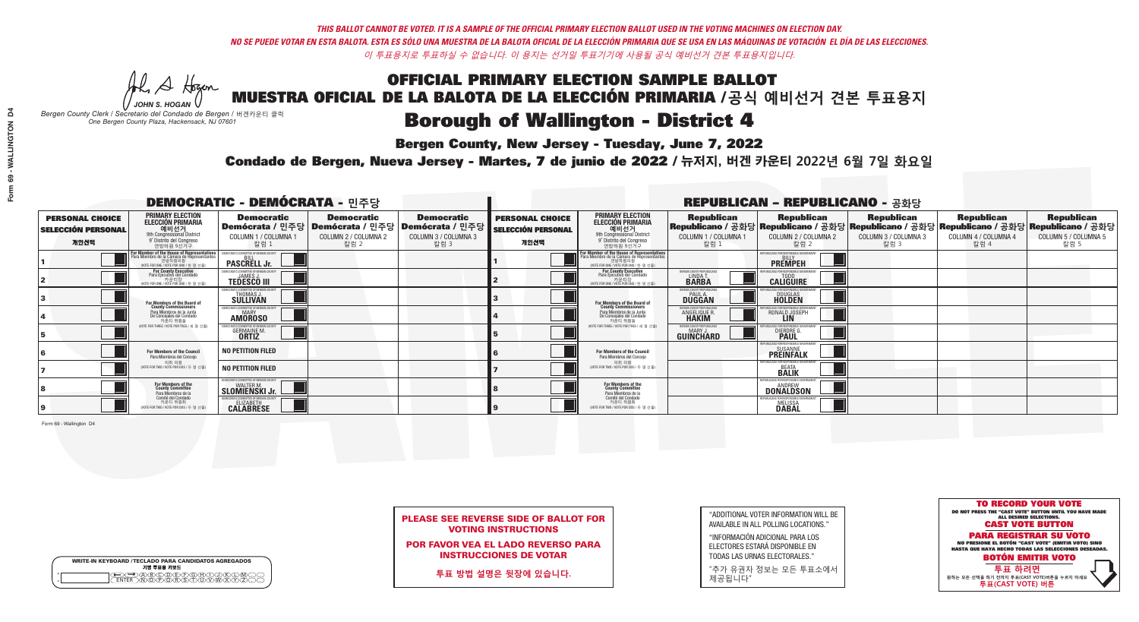Al Stogan

| <b>WRITE-IN KEYBOARD /TECLADO PARA CANDIDATOS AGREGADOS</b><br>기명 투표용 키보드 |  |
|---------------------------------------------------------------------------|--|
| )A)B)C)DE)F)G)H)DI)K<br>ዄ <u>ዀ፝፟</u> ዀ፝ዾ፝ዾዿ፝ዾ፝                            |  |

### OFFICIAL PRIMARY ELECTION SAMPLE BALLOT MUESTRA OFICIAL DE LA BALOTA DE LA ELECCIÓN PRIMARIA /**공식 예비선거 견본 투표용지**

*JOHN S. HOGAN Bergen County Clerk / Secretario del Condado de Bergen /* 버겐카운티 클럭

**Borough of Wallington - District 4** 

**Bergen County, New Jersey - Tuesday, June 7, 2022** 

*One Bergen County Plaza, Hackensack, NJ 07601*



| <b>PLEASE SEE REVERSE SIDE OF BALLOT FOR</b> |  |
|----------------------------------------------|--|
| <b>VOTING INSTRUCTIONS</b>                   |  |

POR FAVOR VEA EL LADO REVERSO PARA INSTRUCCIONES DE VOTAR

**투표 방법 설명은 뒷장에 있습니다.**

"ADDITIONAL VOTER INFORMATION WILL BE AVAILABLE IN ALL POLLING LOCATIONS."

"INFORMACIÓN ADICIONAL PARA LOS ELECTORES ESTARÁ DISPONIBLE EN TODAS LAS URNAS ELECTORALES."

"추가 유권자 정보는 모든 투표소에서 제공됩니다"

Condado de Bergen, Nueva Jersey - Martes, 7 de junio de 2022 / 뉴저지, 버겐 카운티 2022년 6월 7일 화요일 *One Bergen County Plaza, Hackensack, NJ 07601*

|                                                             |                                                                                                                                               | <b>DEMOCRATIC - DEMÓCRATA - 민주당</b>                                   |                                                   |                                                                                                        | <b>REPUBLICAN - REPUBLICANO - 공화당</b>                       |                                                                                                                                                       |                                                           |                                                                                                                                                 |                                                   |                                                   |                                                   |
|-------------------------------------------------------------|-----------------------------------------------------------------------------------------------------------------------------------------------|-----------------------------------------------------------------------|---------------------------------------------------|--------------------------------------------------------------------------------------------------------|-------------------------------------------------------------|-------------------------------------------------------------------------------------------------------------------------------------------------------|-----------------------------------------------------------|-------------------------------------------------------------------------------------------------------------------------------------------------|---------------------------------------------------|---------------------------------------------------|---------------------------------------------------|
| <b>PERSONAL CHOICE</b><br><b>SELECCIÓN PERSONAL</b><br>개인선택 | <b>PRIMARY ELECTION</b><br><b>ELECCIÓN PRIMARIA</b><br>예비선거<br>애 employee http://www.assis<br>9° Distrito del Congreso<br>연방하원 9선거구           | <b>Democratic</b><br>COLUMN 1 / COLUMNA 1<br>칼럼 1                     | <b>Democratic</b><br>COLUMN 2 / COLUMNA 2<br>칼럼 2 | <b>Democratic</b><br>│Demócrata / 민주당│Demócrata / 민주당│Demócrata / 민주당│<br>COLUMN 3 / COLUMNA 3<br>칼럼 3 | <b>PERSONAL CHOICE</b><br><b>SELECCIÓN PERSONAL</b><br>개인선택 | <b>PRIMARY ELECTION</b><br>ELECCIÓN PRIMARIA<br>9th Congressional District<br>9° Distrito del Congreso<br>연방하원 9선거구                                   | <b>Republican</b><br>COLUMN 1 / COLUMNA 1<br>- 칼럼 1       | <b>Republican</b><br>Republicano / 공화당 Republicano / 공화당 Republicano / 공화당 Republicano / 공화당 Republicano / 공화당<br>COLUMN 2 / COLUMNA 2<br>-칼럼 2 | <b>Republican</b><br>COLUMN 3 / COLUMNA 3<br>칼럼 3 | <b>Republican</b><br>COLUMN 4 / COLUMNA 4<br>칼럼 4 | <b>Republican</b><br>COLUMN 5 / COLUMNA 5<br>칼럼 5 |
|                                                             | For Member of the House of Representatives<br>Para Miembro de la Cámara de Representantes<br>연방하원의원<br>(VOTE FOR ONE / VOTE POR UNO / 한 명 선출) | EMOCRATIC COMMITTEE OF BERGEN COUNT<br><b>PASCRELL Jr.</b>            |                                                   |                                                                                                        |                                                             | <b>For Member of the House of Representatives<br/>Para Miembro de la Cámara de Representantes</b><br>연방하원의원<br>(VOTE FOR ONE / VOTE POR UNO / 한 명 선출) |                                                           | PUBLICANS FOR RESPONSIBLE GOVERNM<br><b>PREMPEH</b>                                                                                             |                                                   |                                                   |                                                   |
|                                                             | For County Executive<br>Para Ejecutivo del Condado<br>가운티장<br>(VOTE FOR ONE / VOTE POR UNO / 한 명 선출)                                          | EMOCRATIC COMMITTEE OF BERGEN COUNTY<br><b>TEDESCO III</b>            |                                                   |                                                                                                        |                                                             | For County Executive<br>Para Ejecutivo del Condado<br>7) 카운티장<br>(VOTE FOR ONE / VOTE POR UNO / 한 명 선출)                                               | BERGEN COUNTY REPUBLICAN<br>LINDA T.<br><b>BARBA</b>      | <b>CALIGUIRE</b>                                                                                                                                |                                                   |                                                   |                                                   |
|                                                             | For Members of the Board of<br>County Commissioners                                                                                           | MOCRATIC COMMITTEE OF BERGEN COU<br>THOMAS J.                         |                                                   |                                                                                                        |                                                             | For Members of the Board of<br>County Commissioners                                                                                                   | ERGEN COUNTY REPUBLICA<br><b>PAUL A.</b><br><b>DUGGAN</b> | <b>DOUGLAS</b>                                                                                                                                  |                                                   |                                                   |                                                   |
|                                                             | Para Miembros de la Junta<br>De Concejales del Condado<br>카우티 위원들                                                                             | EMOCRATIC COMMITTEE OF BERGEN COUNTY<br><b>MARY</b><br><b>AMOROSO</b> |                                                   |                                                                                                        |                                                             | Para Miembros de la Junta<br>De Concejales del Condado<br>카우티 위원들                                                                                     | <b>FRGEN COUNTY REPUBLICAN</b><br>ANGELIQUE R             | RONALD JOSEPH                                                                                                                                   |                                                   |                                                   |                                                   |
|                                                             | NOTE FOR THREE / VOTE POR TRES / 세 명 선출)                                                                                                      | RATIC COMMITTEE OF BERGEN CO<br><b>GERMAINE M.</b><br><b>ORTIZ</b>    |                                                   |                                                                                                        |                                                             | NOTE FOR THREE / VOTE POR TRES / 세 명 선출)                                                                                                              | ERGEN COUNTY REPUBLICANS<br>MARY J<br>GUINCHARD           | <b>DIERDRE</b>                                                                                                                                  |                                                   |                                                   |                                                   |
|                                                             | For Members of the Council<br>Para Miembros del Concejo                                                                                       | <b>NO PETITION FILED</b>                                              |                                                   |                                                                                                        |                                                             | <b>For Members of the Council</b><br>Para Miembros del Conceio                                                                                        |                                                           | PHRI ICANS ENR RESPONSIRI E (<br><b>SUSANNE</b><br><b>PREINFALK</b>                                                                             |                                                   |                                                   |                                                   |
|                                                             | 의회 의원<br>(VOTE FOR TWO / VOTE POR DOS / 두 명 선출                                                                                                | <b>NO PETITION FILED</b>                                              |                                                   |                                                                                                        |                                                             | 의회 의원<br>WOTE FOR TWO / VOTE POR DOS / 두 명 선출)                                                                                                        |                                                           | <b>BEATA</b><br><b>BALIK</b>                                                                                                                    |                                                   |                                                   |                                                   |
|                                                             | For Members of the<br>County Committee<br>Para Miembros de la<br>Comité del Condado                                                           | MOCRATIC COMMITTEE OF BERGEN COUNTY<br>SLOMIENSKI Jr.                 |                                                   |                                                                                                        |                                                             | For Members of the<br>County Committee<br>Para Miembros de la<br>Comité del Condado                                                                   |                                                           | EPUBLICANS FOR RESPONSIBLE<br>ANDREW<br><b>DONALDSON</b>                                                                                        |                                                   |                                                   |                                                   |
|                                                             | 카운티 위원회<br>(VOTE FOR TWO / VOTE POR DOS / 두 명 선출)                                                                                             | EMOCRATIC COMMITTEE OF BERGEN COUNTY<br>ELIZABETH<br><b>CALABRESE</b> |                                                   |                                                                                                        |                                                             | 카운티 위원회<br>(VOTE FOR TWO / VOTE POR DOS / 두 명 선출)                                                                                                     |                                                           | PUBI ICANS FOR RESPONSIBI E G<br><b>MELISSA</b>                                                                                                 |                                                   |                                                   |                                                   |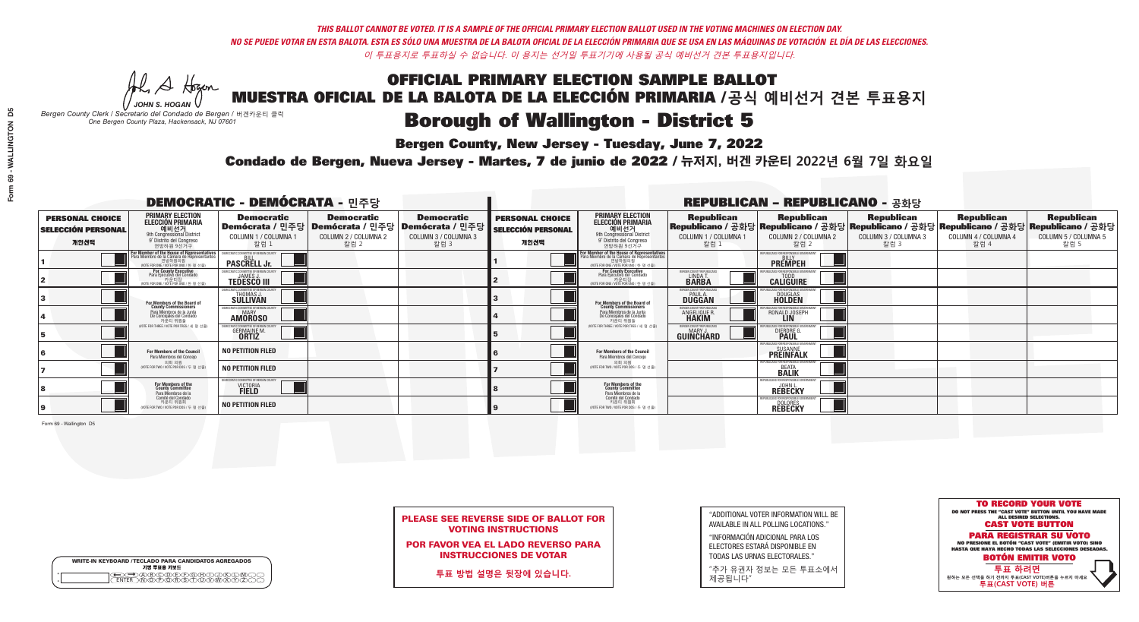He A Hogen

# **Bergen County, New Jersey - Tuesday, June 7, 2022**

| <b>WRITE-IN KEYBOARD /TECLADO PARA CANDIDATOS AGREGADOS</b><br>기명 투표용 키보드 |  |
|---------------------------------------------------------------------------|--|
| VBCODEXCORD<br>ዄ <u>ፙ፝፟፟</u> ቓሧ፝ዾቔጜዿ <sub>ዸ</sub>                         |  |

*JOHN S. HOGAN Bergen County Clerk / Secretario del Condado de Bergen /* 버겐카운티 클럭 *One Bergen County Plaza, Hackensack, NJ 07601*

### Condado de Bergen, Nueva Jersey - Martes, 7 de junio de 2022 / 뉴저지, 버겐 카운티 2022년 6월 7일 화요일 *One Bergen County Plaza, Hackensack, NJ 07601*



| <b>PLEASE SEE REVERSE SIDE OF BALLOT FOR</b> |  |
|----------------------------------------------|--|
| <b>VOTING INSTRUCTIONS</b>                   |  |

POR FAVOR VEA EL LADO REVERSO PARA INSTRUCCIONES DE VOTAR

**투표 방법 설명은 뒷장에 있습니다.**

"ADDITIONAL VOTER INFORMATION WILL BE AVAILABLE IN ALL POLLING LOCATIONS."

"INFORMACIÓN ADICIONAL PARA LOS ELECTORES ESTARÁ DISPONIBLE EN TODAS LAS URNAS ELECTORALES."

"추가 유권자 정보는 모든 투표소에서 제공됩니다"

| <b>DEMOCRATIC - DEMÓCRATA - 민주당</b>                         |                                                                                                                                               |                                                                                                        |                                                   |                                                   | <b>REPUBLICAN - REPUBLICANO - 공화당</b>                       |                                                                                                                                                      |                                                           |                                                                                                                                                |                                                   |                                                   |                                                   |
|-------------------------------------------------------------|-----------------------------------------------------------------------------------------------------------------------------------------------|--------------------------------------------------------------------------------------------------------|---------------------------------------------------|---------------------------------------------------|-------------------------------------------------------------|------------------------------------------------------------------------------------------------------------------------------------------------------|-----------------------------------------------------------|------------------------------------------------------------------------------------------------------------------------------------------------|---------------------------------------------------|---------------------------------------------------|---------------------------------------------------|
| <b>PERSONAL CHOICE</b><br><b>SELECCIÓN PERSONAL</b><br>개인선택 | <b>PRIMARY ELECTION</b><br><b>ELECCIÓN PRIMARIA</b><br>예비선거<br><sup>9th</sup> Congressional District<br>9° Distrito del Congreso<br>연방하원 9선거구 | <b>Democratic</b><br>│Demócrata / 민주당│Demócrata / 민주당│Demócrata / 민주당│<br>COLUMN 1 / COLUMNA 1<br>칼럼 : | <b>Democratic</b><br>COLUMN 2 / COLUMNA 2<br>칼럼 2 | <b>Democratic</b><br>COLUMN 3 / COLUMNA 3<br>칼럼 3 | <b>PERSONAL CHOICE</b><br><b>SELECCIÓN PERSONAL</b><br>개인선택 | <b>PRIMARY ELECTION</b><br>ELECCIÓN PRIMARIA<br>예비선거<br>9th Congressional District<br>9° Distrito del Congreso<br>연방하원 9선거구                          | <b>Republican</b><br>COLUMN 1 / COLUMNA 1<br>칼럼           | <b>Republican</b><br>Republicano / 공화당 Republicano / 공화당 Republicano / 공화당 Republicano / 공화당 Republicano / 공화당<br>COLUMN 2 / COLUMNA 2<br>칼럼 2 | <b>Republican</b><br>COLUMN 3 / COLUMNA 3<br>칼럼 3 | <b>Republican</b><br>COLUMN 4 / COLUMNA 4<br>칼럼 4 | <b>Republican</b><br>COLUMN 5 / COLUMNA 5<br>칼럼 5 |
|                                                             | or Member of the House of Representatives<br>ara Miembro de la Cámara de Representantes<br>연방하원의원<br>(VOTE FOR ONE / VOTE POR UNO / 한 명 선출)   | <b>PASCRELL Jr.</b>                                                                                    |                                                   |                                                   |                                                             | <b>For Member of the House of Representatives</b><br>Para Miembro de la Cámara de Representantes<br>연방하원의원<br>(VOTE FOR ONE / VOTE POR UNO / 한 명 선출) |                                                           | <b>PREMPEH</b>                                                                                                                                 |                                                   |                                                   |                                                   |
|                                                             | For County Executive<br>Para Ejecutivo del Condado<br>가운티장<br>(VOTE FOR ONE / VOTE POR UNO / 한 명 선출)                                          | EMOCRATIC COMMITTEE OF BERGEN COUNT<br><b>TEDESCO III</b>                                              |                                                   |                                                   |                                                             | For County Executive<br>Para Ejecutivo del Condado<br>카운티장<br>(VOTE FOR ONE / VOTE POR UNO / 한 명 선출)                                                 | ERGEN COUNTY REPUBLICA<br>LINDA T.<br><b>BARBA</b>        | <b>CALIGUIRE</b>                                                                                                                               |                                                   |                                                   |                                                   |
|                                                             | For Members of the Board of<br>County Commissioners                                                                                           | <b>DCRATIC COMMITTEE OF BERGEN COUNT</b><br>THOMAS J.                                                  |                                                   |                                                   |                                                             | For Members of the Board of<br>County Commissioners                                                                                                  | ERGEN COUNTY REPUBLICA<br><b>PAUL A.</b><br><b>DUGGAN</b> | <b>DOUGLAS</b>                                                                                                                                 |                                                   |                                                   |                                                   |
|                                                             | Para Miembros de la Junta<br>De Concejales del Condado<br>카운티 위원들                                                                             | OCRATIC COMMITTEE OF BERGEN COUNTY<br><b>MARY</b><br><b>AMOROSO</b>                                    |                                                   |                                                   |                                                             | Para Miembros de la Junta<br>De Concejales del Condado<br>카우티 위원들                                                                                    | RGEN COUNTY REPUBLICAN<br>ANGELIQUE R                     | RONALD JOSEPH                                                                                                                                  |                                                   |                                                   |                                                   |
|                                                             | NOTE FOR THREE / VOTE POR TRES / 세 명 선출                                                                                                       | <b>FIC COMMITTEE OF BERGEN CI</b><br><b>GERMAINE M.</b><br><b>ORTIZ</b>                                |                                                   |                                                   |                                                             | (VOTE FOR THREE / VOTE POR TRES / 세 명 선출)                                                                                                            | ERGEN COUNTY REPUBLICAN<br>MARY J<br><b>GUINCHARD</b>     | 'NR RESPNNSIRI F<br><b>DIERDRE G</b><br><b>PAUL</b>                                                                                            |                                                   |                                                   |                                                   |
|                                                             | For Members of the Council<br>Para Miembros del Conceio                                                                                       | <b>NO PETITION FILED</b>                                                                               |                                                   |                                                   |                                                             | <b>For Members of the Council</b><br>Para Miembros del Concejo                                                                                       |                                                           | UBI ICANS FOR RESPONSIBI E GOV<br><b>SUSANNE</b><br><b>PREINFALK</b>                                                                           |                                                   |                                                   |                                                   |
|                                                             | 의회 의원<br>NOTE FOR TWO / VOTE POR DOS / 두 명 선출)                                                                                                | <b>NO PETITION FILED</b>                                                                               |                                                   |                                                   |                                                             | 의회 의원<br>NOTE FOR TWO / VOTE POR DOS / 두 명 선출)                                                                                                       |                                                           | <b>BEATA</b><br><b>BALIK</b>                                                                                                                   |                                                   |                                                   |                                                   |
|                                                             | For Members of the<br>County Committee<br>Para Miembros de la<br>Comité del Condado                                                           | DCRATIC COMMITTEE OF BERGEN CI<br>VICTORIA<br>FIELD                                                    |                                                   |                                                   |                                                             | For Members of the<br>County Committee<br>Para Miembros de la<br>Comité del Condado                                                                  |                                                           | <b>REBECKY</b>                                                                                                                                 |                                                   |                                                   |                                                   |
|                                                             | 카운티 위원회<br>NOTE FOR TWO / VOTE POR DOS / 두 명 선출)                                                                                              | <b>NO PETITION FILED</b>                                                                               |                                                   |                                                   |                                                             | 카운티 위원회<br>NOTE FOR TWO / VOTE POR DOS / 두 명 선출)                                                                                                     |                                                           | PUBLICANS FOR RESPONSIBLE (<br><b>DOLORES</b><br><b>REBECKY</b>                                                                                |                                                   |                                                   |                                                   |